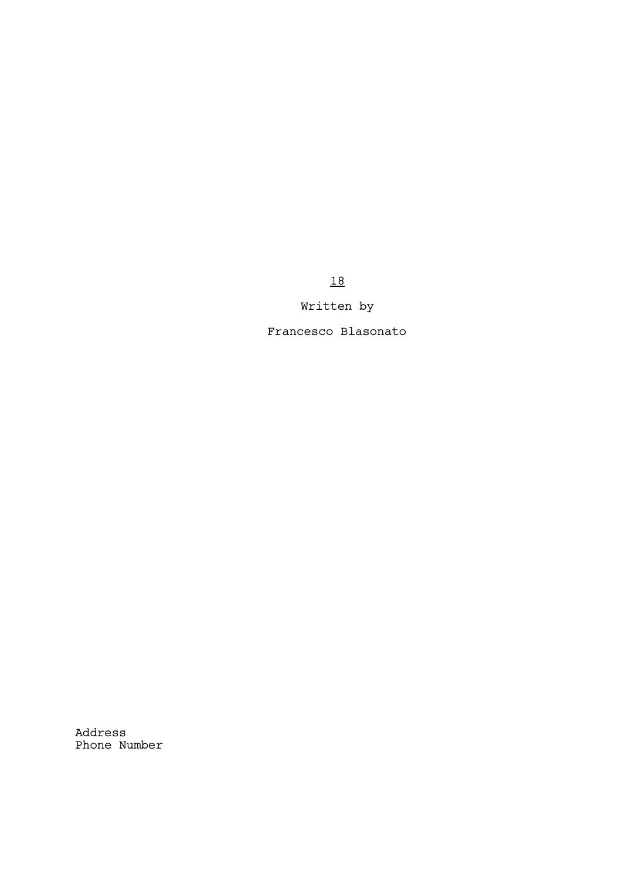18

Written by

Francesco Blasonato

Address Phone Number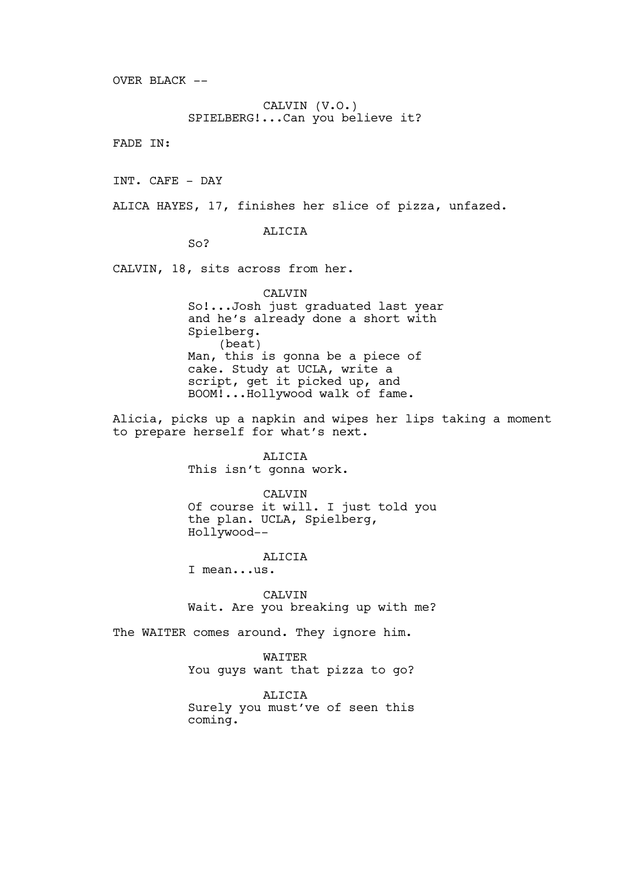OVER BLACK  $--$ 

CALVIN (V.O.) SPIELBERG!...Can you believe it?

FADE IN:

INT. CAFE - DAY

ALICA HAYES, 17, finishes her slice of pizza, unfazed.

## ALICIA

So?

CALVIN, 18, sits across from her.

CALVIN So!...Josh just graduated last year and he's already done a short with Spielberg. (beat) Man, this is gonna be a piece of cake. Study at UCLA, write a script, get it picked up, and BOOM!...Hollywood walk of fame.

Alicia, picks up a napkin and wipes her lips taking a moment to prepare herself for what's next.

> ALICIA This isn't gonna work.

CALVIN Of course it will. I just told you the plan. UCLA, Spielberg, Hollywood--

## ALICIA

I mean...us.

CALVIN Wait. Are you breaking up with me?

The WAITER comes around. They ignore him.

WAITER You guys want that pizza to go?

ALICIA Surely you must've of seen this coming.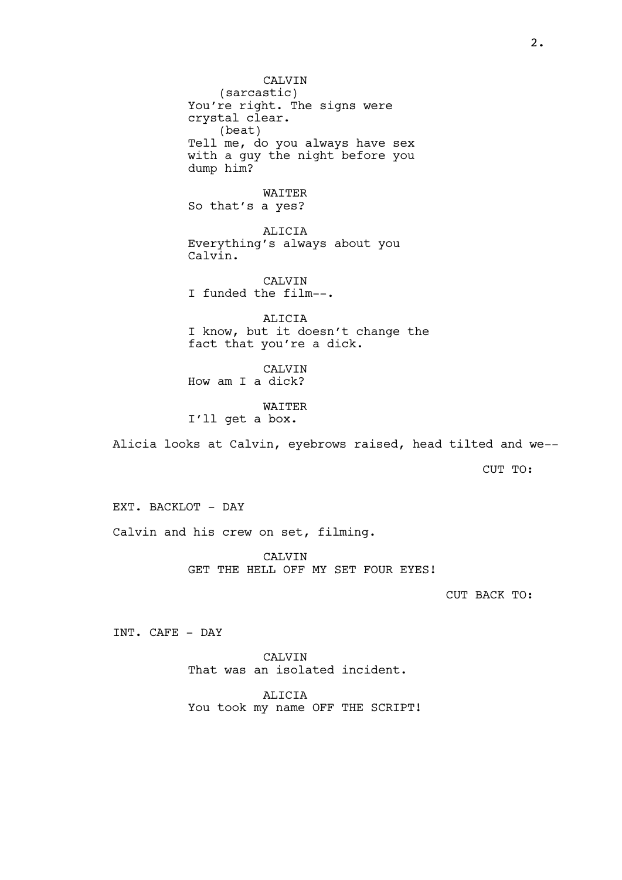**CALVIN** (sarcastic) You're right. The signs were crystal clear. (beat) Tell me, do you always have sex with a guy the night before you dump him? WAITER So that's a yes? ALICIA Everything's always about you Calvin. CALVIN I funded the film--. ALICIA I know, but it doesn't change the fact that you're a dick. CALVIN How am I a dick? WAITER I'll get a box. Alicia looks at Calvin, eyebrows raised, head tilted and we-- CUT TO:

EXT. BACKLOT - DAY Calvin and his crew on set, filming.

> CALVIN GET THE HELL OFF MY SET FOUR EYES!

> > CUT BACK TO:

INT. CAFE - DAY

CALVIN That was an isolated incident.

ALICIA You took my name OFF THE SCRIPT!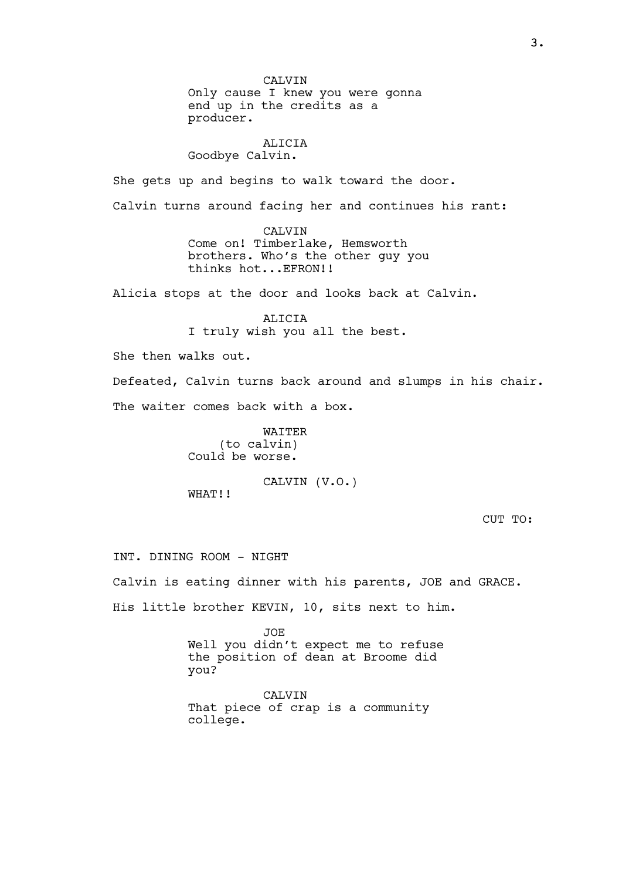CALVIN Only cause I knew you were gonna end up in the credits as a producer.

### ALICIA Goodbye Calvin.

She gets up and begins to walk toward the door.

Calvin turns around facing her and continues his rant:

CALVIN Come on! Timberlake, Hemsworth brothers. Who's the other guy you thinks hot...EFRON!!

Alicia stops at the door and looks back at Calvin.

ALICIA I truly wish you all the best.

She then walks out.

Defeated, Calvin turns back around and slumps in his chair. The waiter comes back with a box.

> WAITER (to calvin) Could be worse.

CALVIN (V.O.) WHAT!!

CUT TO:

INT. DINING ROOM - NIGHT

Calvin is eating dinner with his parents, JOE and GRACE.

His little brother KEVIN, 10, sits next to him.

JOE Well you didn't expect me to refuse the position of dean at Broome did you?

CALVIN That piece of crap is a community college.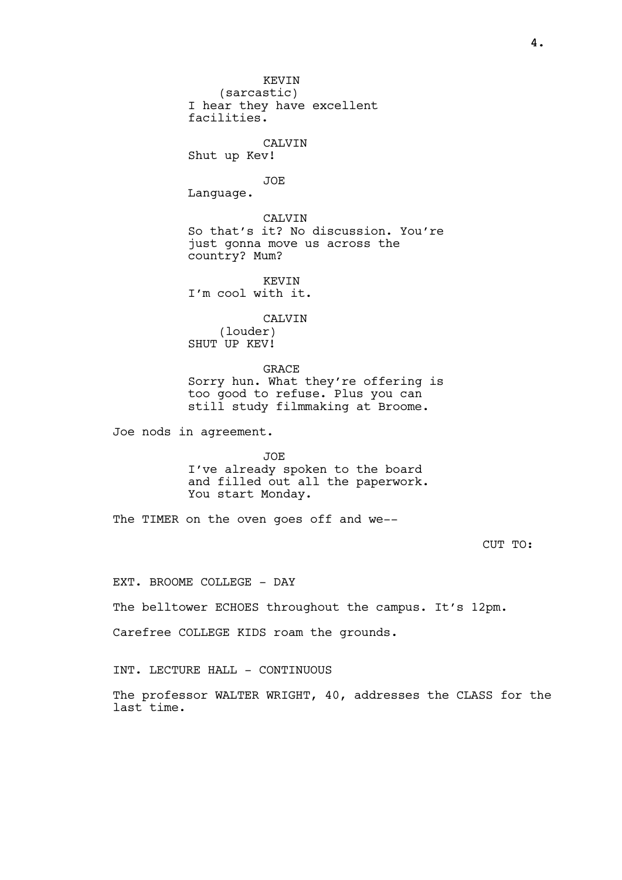KEVIN (sarcastic) I hear they have excellent facilities. CALVIN Shut up Kev! JOE Language. CALVIN So that's it? No discussion. You're just gonna move us across the country? Mum? KEVIN I'm cool with it. CALVIN (louder) SHUT UP KEV! GRACE Sorry hun. What they're offering is too good to refuse. Plus you can still study filmmaking at Broome. Joe nods in agreement. JOE I've already spoken to the board

and filled out all the paperwork. You start Monday.

The TIMER on the oven goes off and we--

CUT TO:

EXT. BROOME COLLEGE - DAY

The belltower ECHOES throughout the campus. It's 12pm.

Carefree COLLEGE KIDS roam the grounds.

INT. LECTURE HALL - CONTINUOUS

The professor WALTER WRIGHT, 40, addresses the CLASS for the last time.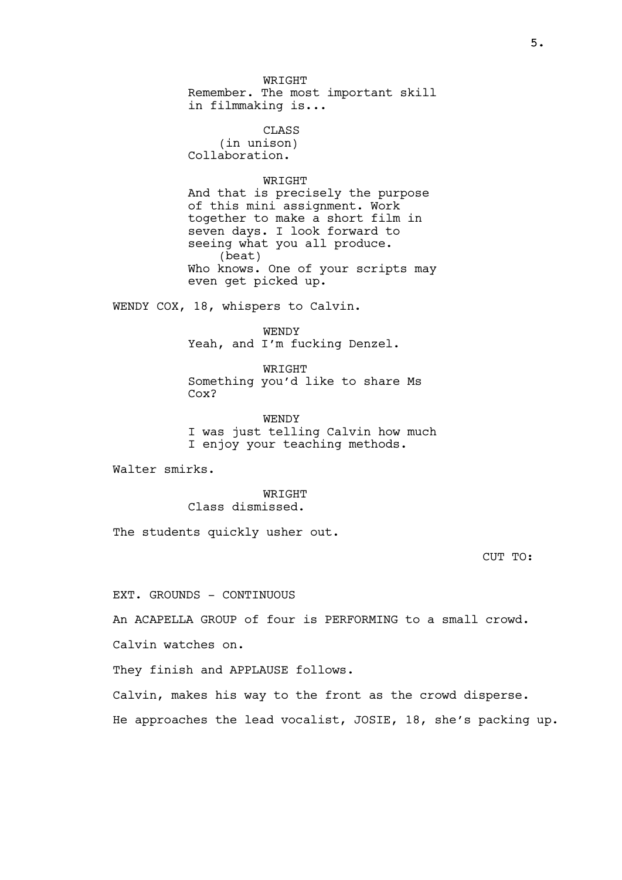WRIGHT Remember. The most important skill in filmmaking is...

CLASS (in unison) Collaboration.

# **WRTGHT**

And that is precisely the purpose of this mini assignment. Work together to make a short film in seven days. I look forward to seeing what you all produce. (beat) Who knows. One of your scripts may even get picked up.

WENDY COX, 18, whispers to Calvin.

WENDY Yeah, and I'm fucking Denzel.

WRIGHT Something you'd like to share Ms Cox?

WENDY I was just telling Calvin how much I enjoy your teaching methods.

Walter smirks.

WRIGHT Class dismissed.

The students quickly usher out.

CUT TO:

EXT. GROUNDS - CONTINUOUS

An ACAPELLA GROUP of four is PERFORMING to a small crowd.

Calvin watches on.

They finish and APPLAUSE follows.

Calvin, makes his way to the front as the crowd disperse. He approaches the lead vocalist, JOSIE, 18, she's packing up.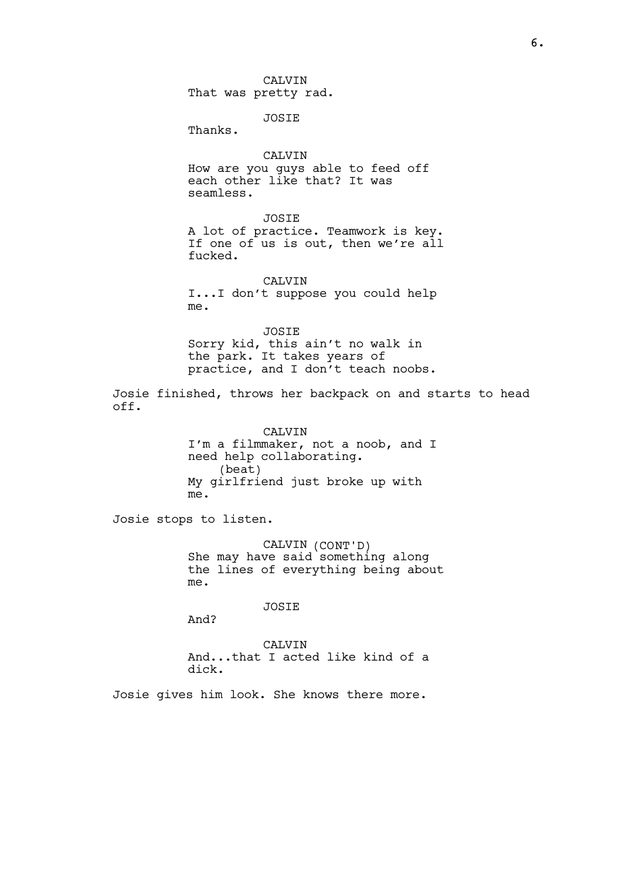6.

**CALVIN** That was pretty rad.

JOSIE

Thanks.

## CALVIN

How are you guys able to feed off each other like that? It was seamless.

JOSIE A lot of practice. Teamwork is key. If one of us is out, then we're all fucked.

CALVIN I...I don't suppose you could help me.

JOSIE

Sorry kid, this ain't no walk in the park. It takes years of practice, and I don't teach noobs.

Josie finished, throws her backpack on and starts to head off.

> CALVIN I'm a filmmaker, not a noob, and I need help collaborating. (beat) My girlfriend just broke up with me.

Josie stops to listen.

CALVIN (CONT'D) She may have said something along the lines of everything being about me.

JOSIE

And?

CALVIN And...that I acted like kind of a dick.

Josie gives him look. She knows there more.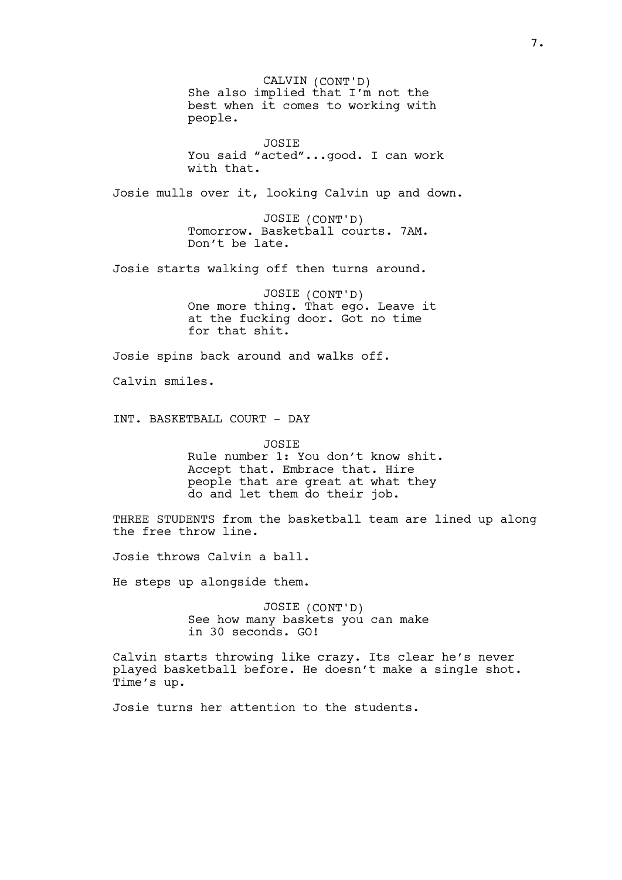CALVIN (CONT'D) She also implied that I'm not the best when it comes to working with people. JOSIE You said "acted"...good. I can work with that. Josie mulls over it, looking Calvin up and down. JOSIE (CONT'D) Tomorrow. Basketball courts. 7AM. Don't be late. Josie starts walking off then turns around. JOSIE (CONT'D) One more thing. That ego. Leave it at the fucking door. Got no time for that shit. Josie spins back around and walks off. Calvin smiles. INT. BASKETBALL COURT - DAY JOSIE Rule number 1: You don't know shit. Accept that. Embrace that. Hire people that are great at what they do and let them do their job. THREE STUDENTS from the basketball team are lined up along the free throw line. Josie throws Calvin a ball. He steps up alongside them. JOSIE (CONT'D) See how many baskets you can make in 30 seconds. GO! Calvin starts throwing like crazy. Its clear he's never played basketball before. He doesn't make a single shot. Time's up.

Josie turns her attention to the students.

7.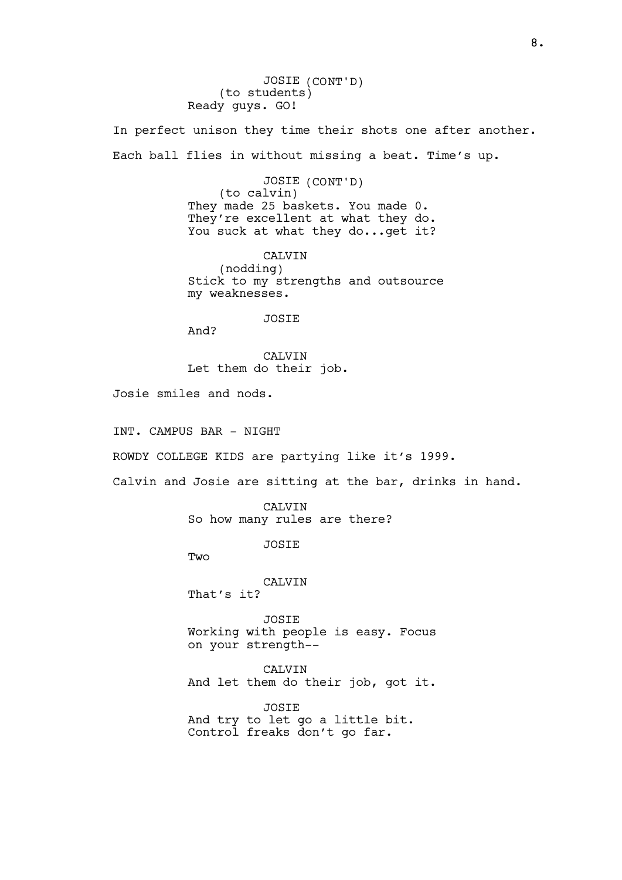JOSIE (CONT'D) (to students) Ready guys. GO!

In perfect unison they time their shots one after another. Each ball flies in without missing a beat. Time's up.

> JOSIE (CONT'D) (to calvin) They made 25 baskets. You made 0. They're excellent at what they do. You suck at what they do... get it?

CALVIN (nodding) Stick to my strengths and outsource my weaknesses.

#### JOSIE

And?

**CALVIN** Let them do their job.

Josie smiles and nods.

INT. CAMPUS BAR - NIGHT

ROWDY COLLEGE KIDS are partying like it's 1999.

Calvin and Josie are sitting at the bar, drinks in hand.

CALVIN So how many rules are there?

JOSIE

**Two** 

CALVIN

That's it?

JOSIE Working with people is easy. Focus on your strength--

CALVIN And let them do their job, got it.

JOSIE And try to let go a little bit. Control freaks don't go far.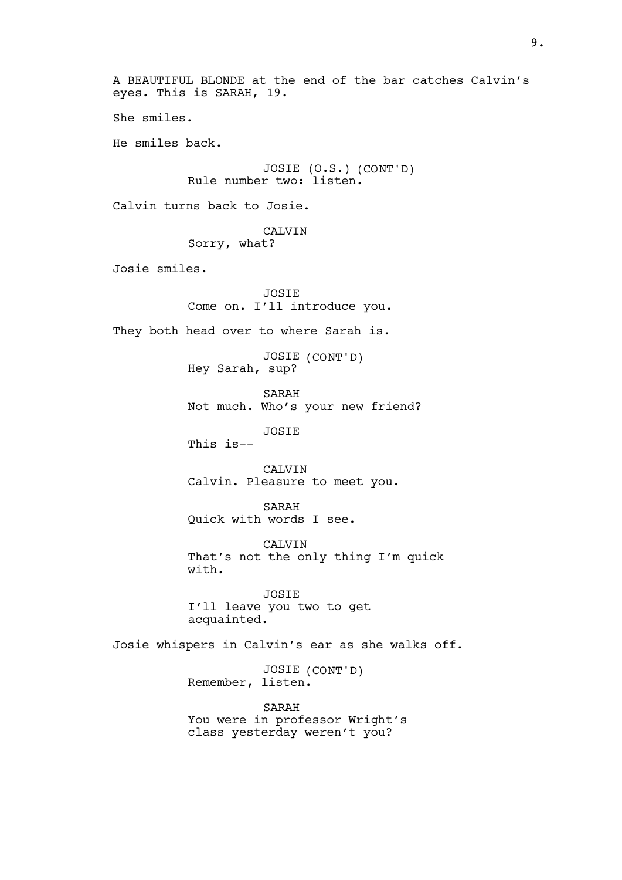A BEAUTIFUL BLONDE at the end of the bar catches Calvin's eyes. This is SARAH, 19. She smiles. He smiles back. JOSIE (O.S.) (CONT'D) Rule number two: listen. Calvin turns back to Josie. CALVIN Sorry, what? Josie smiles. JOSIE Come on. I'll introduce you. They both head over to where Sarah is. JOSIE (CONT'D) Hey Sarah, sup? SARAH Not much. Who's your new friend? JOSIE This is-- CALVIN Calvin. Pleasure to meet you. SARAH Quick with words I see. CALVIN That's not the only thing I'm quick with. JOSIE I'll leave you two to get acquainted. Josie whispers in Calvin's ear as she walks off. JOSIE (CONT'D) Remember, listen. SARAH You were in professor Wright's class yesterday weren't you?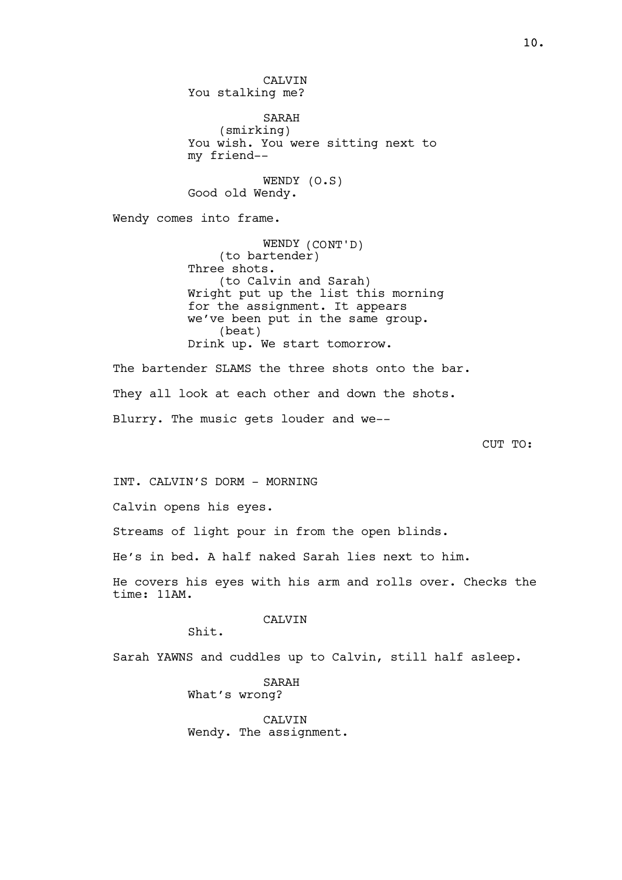**CALVIN** You stalking me? SARAH (smirking) You wish. You were sitting next to my friend-- WENDY (O.S) Good old Wendy. Wendy comes into frame. WENDY (CONT'D) (to bartender) Three shots. (to Calvin and Sarah) Wright put up the list this morning for the assignment. It appears we've been put in the same group. (beat) Drink up. We start tomorrow. The bartender SLAMS the three shots onto the bar. They all look at each other and down the shots. Blurry. The music gets louder and we-- CUT TO:

INT. CALVIN'S DORM - MORNING

Calvin opens his eyes.

Streams of light pour in from the open blinds.

He's in bed. A half naked Sarah lies next to him.

He covers his eyes with his arm and rolls over. Checks the time: 11AM.

CALVIN

Shit.

Sarah YAWNS and cuddles up to Calvin, still half asleep.

SARAH What's wrong?

CALVIN Wendy. The assignment.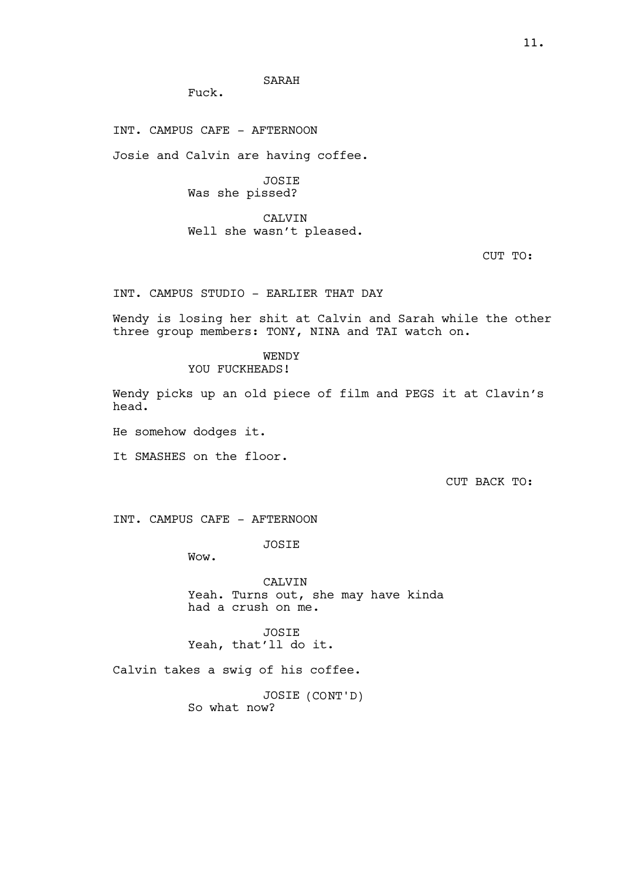SARAH

Fuck.

INT. CAMPUS CAFE - AFTERNOON

Josie and Calvin are having coffee.

JOSIE Was she pissed?

CALVIN Well she wasn't pleased.

CUT TO:

INT. CAMPUS STUDIO - EARLIER THAT DAY

Wendy is losing her shit at Calvin and Sarah while the other three group members: TONY, NINA and TAI watch on.

> WENDY YOU FUCKHEADS!

Wendy picks up an old piece of film and PEGS it at Clavin's head.

He somehow dodges it.

It SMASHES on the floor.

CUT BACK TO:

INT. CAMPUS CAFE - AFTERNOON

JOSIE

Wow.

CALVIN Yeah. Turns out, she may have kinda had a crush on me.

JOSIE Yeah, that'll do it.

Calvin takes a swig of his coffee.

JOSIE (CONT'D) So what now?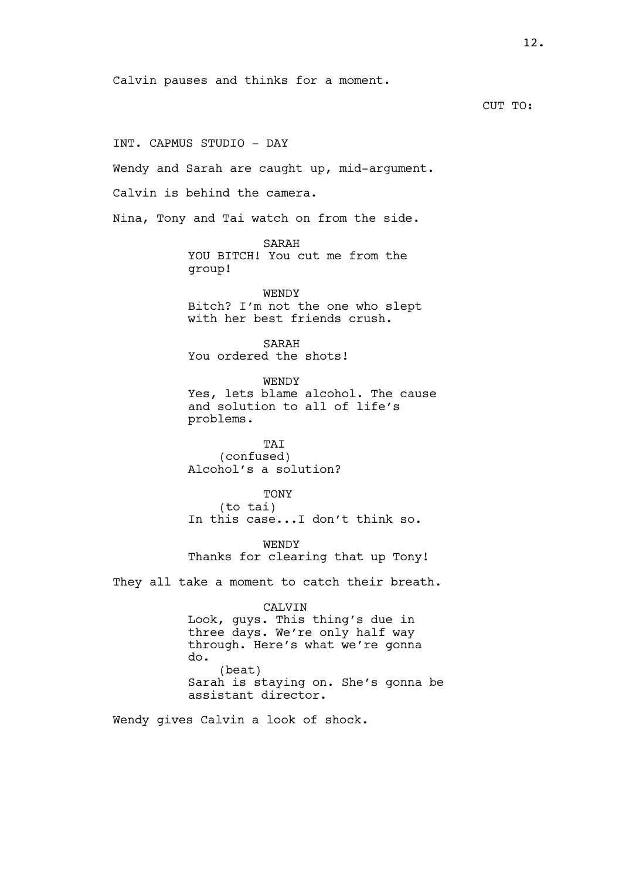Calvin pauses and thinks for a moment.

CUT TO:

INT. CAPMUS STUDIO - DAY

Wendy and Sarah are caught up, mid-argument.

Calvin is behind the camera.

Nina, Tony and Tai watch on from the side.

SARAH YOU BITCH! You cut me from the group!

WENDY

Bitch? I'm not the one who slept with her best friends crush.

SARAH You ordered the shots!

WENDY

Yes, lets blame alcohol. The cause and solution to all of life's problems.

TAI (confused) Alcohol's a solution?

TONY (to tai) In this case...I don't think so.

WENDY Thanks for clearing that up Tony!

They all take a moment to catch their breath.

## CALVIN Look, guys. This thing's due in three days. We're only half way through. Here's what we're gonna do. (beat) Sarah is staying on. She's gonna be assistant director.

Wendy gives Calvin a look of shock.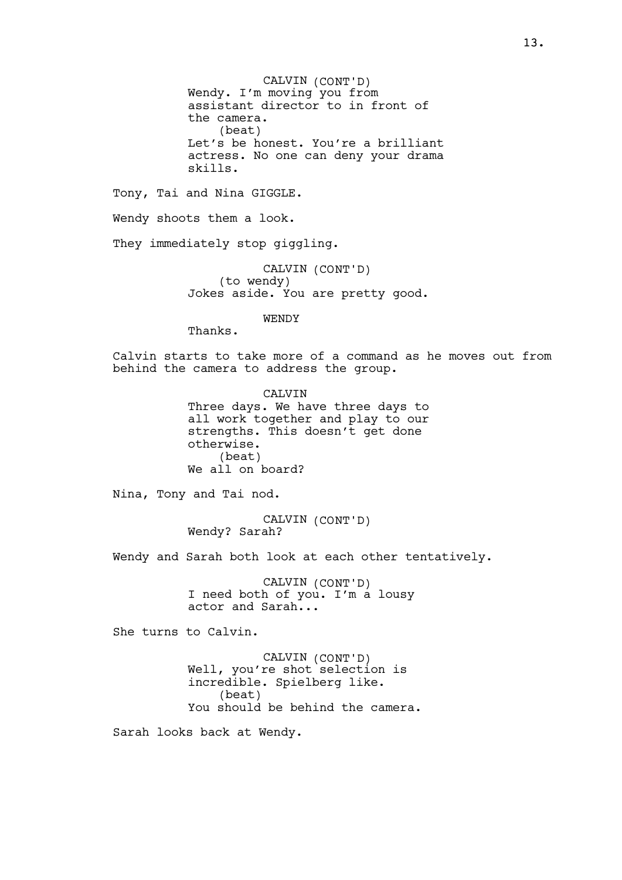CALVIN (CONT'D) Wendy. I'm moving you from assistant director to in front of the camera. (beat) Let's be honest. You're a brilliant actress. No one can deny your drama skills.

Tony, Tai and Nina GIGGLE.

Wendy shoots them a look.

They immediately stop qiqqlinq.

CALVIN (CONT'D) (to wendy) Jokes aside. You are pretty good.

WENDY

Thanks.

Calvin starts to take more of a command as he moves out from behind the camera to address the group.

> CALVIN Three days. We have three days to all work together and play to our strengths. This doesn't get done otherwise. (beat) We all on board?

Nina, Tony and Tai nod.

CALVIN (CONT'D) Wendy? Sarah?

Wendy and Sarah both look at each other tentatively.

CALVIN (CONT'D) I need both of you. I'm a lousy actor and Sarah...

She turns to Calvin.

CALVIN (CONT'D) Well, you're shot`selection is incredible. Spielberg like. (beat) You should be behind the camera.

Sarah looks back at Wendy.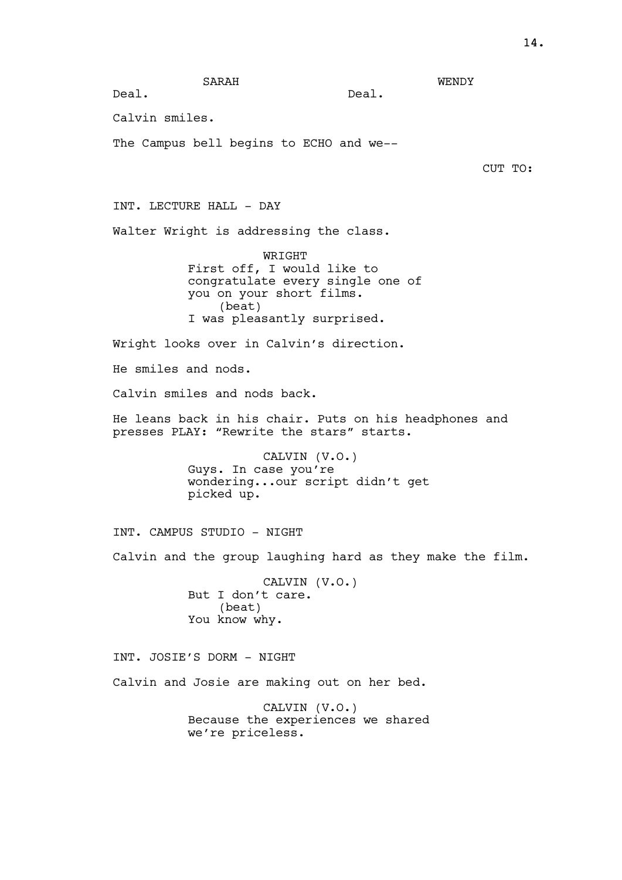WENDY

Deal.

Calvin smiles.

Deal.

The Campus bell begins to ECHO and we--

CUT TO:

INT. LECTURE HALL - DAY

Walter Wright is addressing the class.

WRIGHT First off, I would like to congratulate every single one of you on your short films. (beat) I was pleasantly surprised.

Wright looks over in Calvin's direction.

He smiles and nods.

Calvin smiles and nods back.

He leans back in his chair. Puts on his headphones and presses PLAY: "Rewrite the stars" starts.

> CALVIN (V.O.) Guys. In case you're wondering...our script didn't get picked up.

INT. CAMPUS STUDIO - NIGHT

Calvin and the group laughing hard as they make the film.

CALVIN (V.O.) But I don't care. (beat) You know why.

INT. JOSIE'S DORM - NIGHT Calvin and Josie are making out on her bed.

> CALVIN (V.O.) Because the experiences we shared we're priceless.